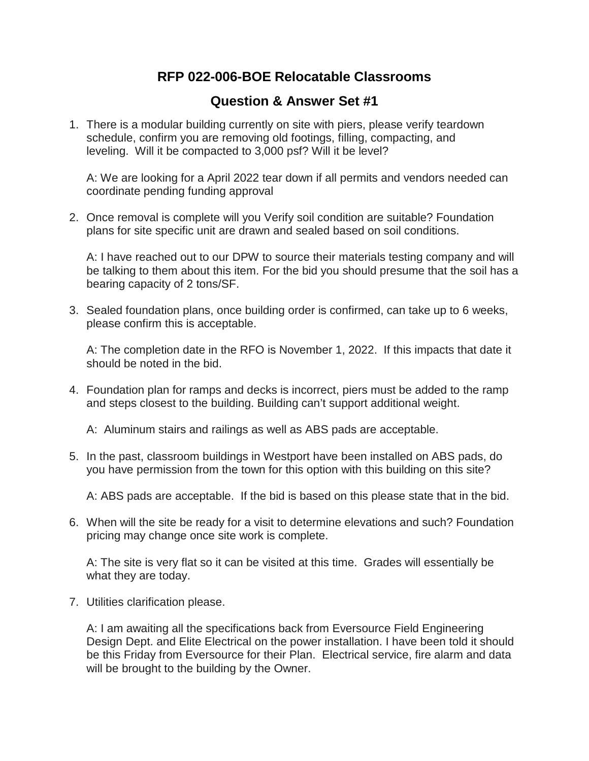## **RFP 022-006-BOE Relocatable Classrooms**

## **Question & Answer Set #1**

1. There is a modular building currently on site with piers, please verify teardown schedule, confirm you are removing old footings, filling, compacting, and leveling. Will it be compacted to 3,000 psf? Will it be level?

A: We are looking for a April 2022 tear down if all permits and vendors needed can coordinate pending funding approval

2. Once removal is complete will you Verify soil condition are suitable? Foundation plans for site specific unit are drawn and sealed based on soil conditions.

A: I have reached out to our DPW to source their materials testing company and will be talking to them about this item. For the bid you should presume that the soil has a bearing capacity of 2 tons/SF.

3. Sealed foundation plans, once building order is confirmed, can take up to 6 weeks, please confirm this is acceptable.

A: The completion date in the RFO is November 1, 2022. If this impacts that date it should be noted in the bid.

4. Foundation plan for ramps and decks is incorrect, piers must be added to the ramp and steps closest to the building. Building can't support additional weight.

A: Aluminum stairs and railings as well as ABS pads are acceptable.

5. In the past, classroom buildings in Westport have been installed on ABS pads, do you have permission from the town for this option with this building on this site?

A: ABS pads are acceptable. If the bid is based on this please state that in the bid.

6. When will the site be ready for a visit to determine elevations and such? Foundation pricing may change once site work is complete.

A: The site is very flat so it can be visited at this time. Grades will essentially be what they are today.

7. Utilities clarification please.

A: I am awaiting all the specifications back from Eversource Field Engineering Design Dept. and Elite Electrical on the power installation. I have been told it should be this Friday from Eversource for their Plan. Electrical service, fire alarm and data will be brought to the building by the Owner.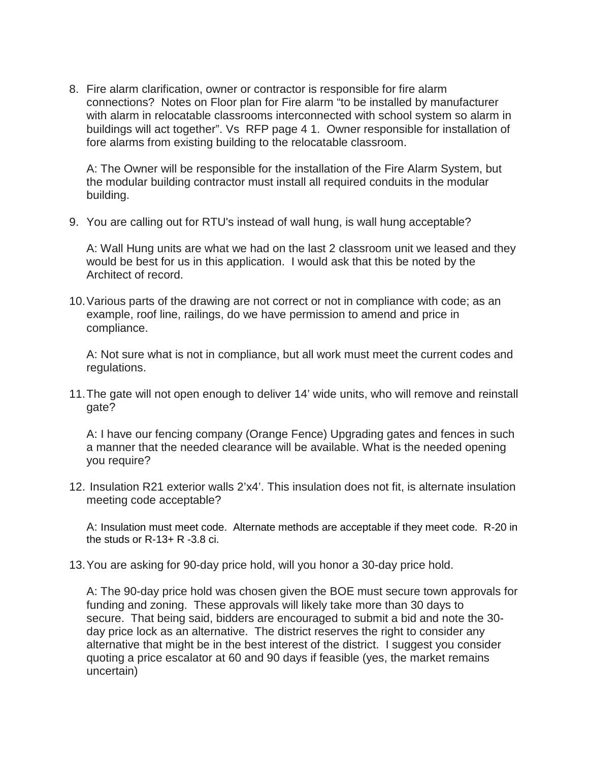8. Fire alarm clarification, owner or contractor is responsible for fire alarm connections? Notes on Floor plan for Fire alarm "to be installed by manufacturer with alarm in relocatable classrooms interconnected with school system so alarm in buildings will act together". Vs RFP page 4 1. Owner responsible for installation of fore alarms from existing building to the relocatable classroom.

A: The Owner will be responsible for the installation of the Fire Alarm System, but the modular building contractor must install all required conduits in the modular building.

9. You are calling out for RTU's instead of wall hung, is wall hung acceptable?

A: Wall Hung units are what we had on the last 2 classroom unit we leased and they would be best for us in this application. I would ask that this be noted by the Architect of record.

10.Various parts of the drawing are not correct or not in compliance with code; as an example, roof line, railings, do we have permission to amend and price in compliance.

A: Not sure what is not in compliance, but all work must meet the current codes and regulations.

11.The gate will not open enough to deliver 14' wide units, who will remove and reinstall gate?

A: I have our fencing company (Orange Fence) Upgrading gates and fences in such a manner that the needed clearance will be available. What is the needed opening you require?

12. Insulation R21 exterior walls 2'x4'. This insulation does not fit, is alternate insulation meeting code acceptable?

A: Insulation must meet code. Alternate methods are acceptable if they meet code. R-20 in the studs or  $R-13+R-3.8$  ci.

13.You are asking for 90-day price hold, will you honor a 30-day price hold.

A: The 90-day price hold was chosen given the BOE must secure town approvals for funding and zoning. These approvals will likely take more than 30 days to secure. That being said, bidders are encouraged to submit a bid and note the 30 day price lock as an alternative. The district reserves the right to consider any alternative that might be in the best interest of the district. I suggest you consider quoting a price escalator at 60 and 90 days if feasible (yes, the market remains uncertain)